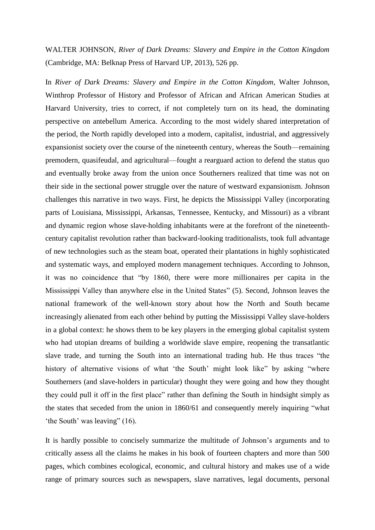WALTER JOHNSON, *River of Dark Dreams: Slavery and Empire in the Cotton Kingdom* (Cambridge, MA: Belknap Press of Harvard UP, 2013), 526 pp.

In *River of Dark Dreams: Slavery and Empire in the Cotton Kingdom*, Walter Johnson, Winthrop Professor of History and Professor of African and African American Studies at Harvard University, tries to correct, if not completely turn on its head, the dominating perspective on antebellum America. According to the most widely shared interpretation of the period, the North rapidly developed into a modern, capitalist, industrial, and aggressively expansionist society over the course of the nineteenth century, whereas the South—remaining premodern, quasifeudal, and agricultural—fought a rearguard action to defend the status quo and eventually broke away from the union once Southerners realized that time was not on their side in the sectional power struggle over the nature of westward expansionism. Johnson challenges this narrative in two ways. First, he depicts the Mississippi Valley (incorporating parts of Louisiana, Mississippi, Arkansas, Tennessee, Kentucky, and Missouri) as a vibrant and dynamic region whose slave-holding inhabitants were at the forefront of the nineteenthcentury capitalist revolution rather than backward-looking traditionalists, took full advantage of new technologies such as the steam boat, operated their plantations in highly sophisticated and systematic ways, and employed modern management techniques. According to Johnson, it was no coincidence that "by 1860, there were more millionaires per capita in the Mississippi Valley than anywhere else in the United States" (5). Second, Johnson leaves the national framework of the well-known story about how the North and South became increasingly alienated from each other behind by putting the Mississippi Valley slave-holders in a global context: he shows them to be key players in the emerging global capitalist system who had utopian dreams of building a worldwide slave empire, reopening the transatlantic slave trade, and turning the South into an international trading hub. He thus traces "the history of alternative visions of what 'the South' might look like" by asking "where Southerners (and slave-holders in particular) thought they were going and how they thought they could pull it off in the first place" rather than defining the South in hindsight simply as the states that seceded from the union in 1860/61 and consequently merely inquiring "what 'the South' was leaving" (16).

It is hardly possible to concisely summarize the multitude of Johnson's arguments and to critically assess all the claims he makes in his book of fourteen chapters and more than 500 pages, which combines ecological, economic, and cultural history and makes use of a wide range of primary sources such as newspapers, slave narratives, legal documents, personal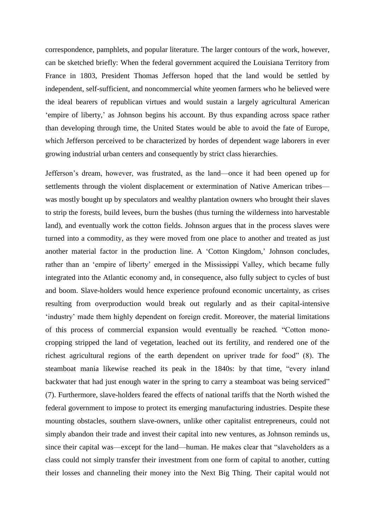correspondence, pamphlets, and popular literature. The larger contours of the work, however, can be sketched briefly: When the federal government acquired the Louisiana Territory from France in 1803, President Thomas Jefferson hoped that the land would be settled by independent, self-sufficient, and noncommercial white yeomen farmers who he believed were the ideal bearers of republican virtues and would sustain a largely agricultural American 'empire of liberty,' as Johnson begins his account. By thus expanding across space rather than developing through time, the United States would be able to avoid the fate of Europe, which Jefferson perceived to be characterized by hordes of dependent wage laborers in ever growing industrial urban centers and consequently by strict class hierarchies.

Jefferson's dream, however, was frustrated, as the land—once it had been opened up for settlements through the violent displacement or extermination of Native American tribes was mostly bought up by speculators and wealthy plantation owners who brought their slaves to strip the forests, build levees, burn the bushes (thus turning the wilderness into harvestable land), and eventually work the cotton fields. Johnson argues that in the process slaves were turned into a commodity, as they were moved from one place to another and treated as just another material factor in the production line. A 'Cotton Kingdom,' Johnson concludes, rather than an 'empire of liberty' emerged in the Mississippi Valley, which became fully integrated into the Atlantic economy and, in consequence, also fully subject to cycles of bust and boom. Slave-holders would hence experience profound economic uncertainty, as crises resulting from overproduction would break out regularly and as their capital-intensive 'industry' made them highly dependent on foreign credit. Moreover, the material limitations of this process of commercial expansion would eventually be reached. "Cotton monocropping stripped the land of vegetation, leached out its fertility, and rendered one of the richest agricultural regions of the earth dependent on upriver trade for food" (8). The steamboat mania likewise reached its peak in the 1840s: by that time, "every inland backwater that had just enough water in the spring to carry a steamboat was being serviced" (7). Furthermore, slave-holders feared the effects of national tariffs that the North wished the federal government to impose to protect its emerging manufacturing industries. Despite these mounting obstacles, southern slave-owners, unlike other capitalist entrepreneurs, could not simply abandon their trade and invest their capital into new ventures, as Johnson reminds us, since their capital was—except for the land—human. He makes clear that "slaveholders as a class could not simply transfer their investment from one form of capital to another, cutting their losses and channeling their money into the Next Big Thing. Their capital would not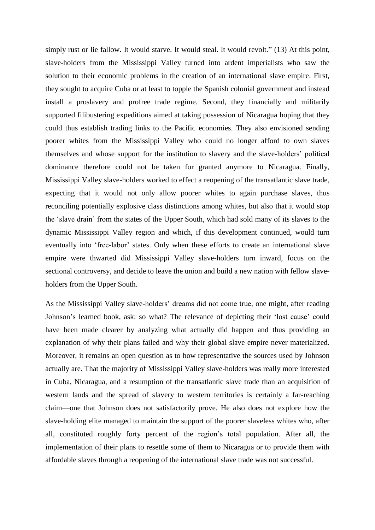simply rust or lie fallow. It would starve. It would steal. It would revolt." (13) At this point, slave-holders from the Mississippi Valley turned into ardent imperialists who saw the solution to their economic problems in the creation of an international slave empire. First, they sought to acquire Cuba or at least to topple the Spanish colonial government and instead install a proslavery and profree trade regime. Second, they financially and militarily supported filibustering expeditions aimed at taking possession of Nicaragua hoping that they could thus establish trading links to the Pacific economies. They also envisioned sending poorer whites from the Mississippi Valley who could no longer afford to own slaves themselves and whose support for the institution to slavery and the slave-holders' political dominance therefore could not be taken for granted anymore to Nicaragua. Finally, Mississippi Valley slave-holders worked to effect a reopening of the transatlantic slave trade, expecting that it would not only allow poorer whites to again purchase slaves, thus reconciling potentially explosive class distinctions among whites, but also that it would stop the 'slave drain' from the states of the Upper South, which had sold many of its slaves to the dynamic Mississippi Valley region and which, if this development continued, would turn eventually into 'free-labor' states. Only when these efforts to create an international slave empire were thwarted did Mississippi Valley slave-holders turn inward, focus on the sectional controversy, and decide to leave the union and build a new nation with fellow slaveholders from the Upper South.

As the Mississippi Valley slave-holders' dreams did not come true, one might, after reading Johnson's learned book, ask: so what? The relevance of depicting their 'lost cause' could have been made clearer by analyzing what actually did happen and thus providing an explanation of why their plans failed and why their global slave empire never materialized. Moreover, it remains an open question as to how representative the sources used by Johnson actually are. That the majority of Mississippi Valley slave-holders was really more interested in Cuba, Nicaragua, and a resumption of the transatlantic slave trade than an acquisition of western lands and the spread of slavery to western territories is certainly a far-reaching claim—one that Johnson does not satisfactorily prove. He also does not explore how the slave-holding elite managed to maintain the support of the poorer slaveless whites who, after all, constituted roughly forty percent of the region's total population. After all, the implementation of their plans to resettle some of them to Nicaragua or to provide them with affordable slaves through a reopening of the international slave trade was not successful.